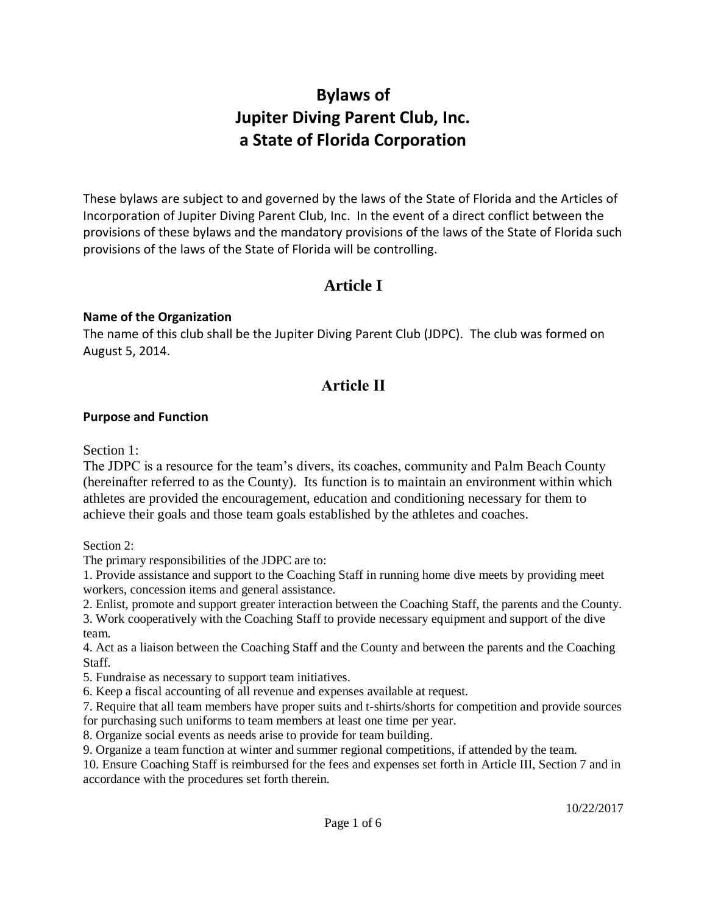# **Bylaws of Jupiter Diving Parent Club, Inc. a State of Florida Corporation**

These bylaws are subject to and governed by the laws of the State of Florida and the Articles of Incorporation of Jupiter Diving Parent Club, Inc. In the event of a direct conflict between the provisions of these bylaws and the mandatory provisions of the laws of the State of Florida such provisions of the laws of the State of Florida will be controlling.

## **Article I**

### **Name of the Organization**

The name of this club shall be the Jupiter Diving Parent Club (JDPC). The club was formed on August 5, 2014.

## **Article II**

### **Purpose and Function**

Section 1:

The JDPC is a resource for the team's divers, its coaches, community and Palm Beach County (hereinafter referred to as the County). Its function is to maintain an environment within which athletes are provided the encouragement, education and conditioning necessary for them to achieve their goals and those team goals established by the athletes and coaches.

Section 2:

The primary responsibilities of the JDPC are to:

1. Provide assistance and support to the Coaching Staff in running home dive meets by providing meet workers, concession items and general assistance.

2. Enlist, promote and support greater interaction between the Coaching Staff, the parents and the County.

3. Work cooperatively with the Coaching Staff to provide necessary equipment and support of the dive team.

4. Act as a liaison between the Coaching Staff and the County and between the parents and the Coaching Staff.

5. Fundraise as necessary to support team initiatives.

6. Keep a fiscal accounting of all revenue and expenses available at request.

7. Require that all team members have proper suits and t-shirts/shorts for competition and provide sources for purchasing such uniforms to team members at least one time per year.

8. Organize social events as needs arise to provide for team building.

9. Organize a team function at winter and summer regional competitions, if attended by the team.

10. Ensure Coaching Staff is reimbursed for the fees and expenses set forth in Article III, Section 7 and in accordance with the procedures set forth therein.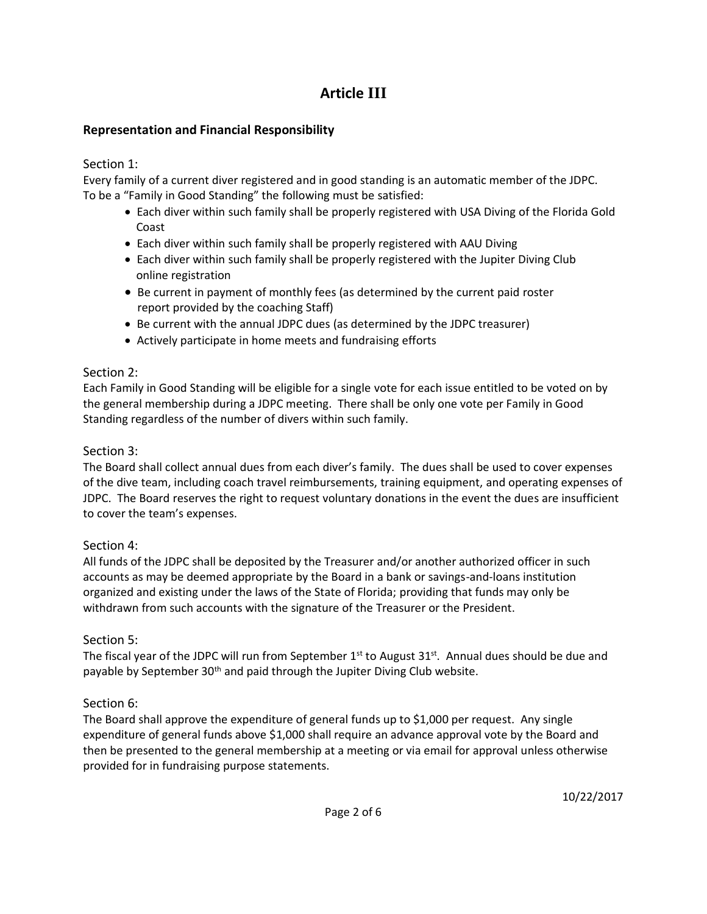# **Article III**

### **Representation and Financial Responsibility**

Section 1:

Every family of a current diver registered and in good standing is an automatic member of the JDPC. To be a "Family in Good Standing" the following must be satisfied:

- Each diver within such family shall be properly registered with USA Diving of the Florida Gold Coast
- Each diver within such family shall be properly registered with AAU Diving
- Each diver within such family shall be properly registered with the Jupiter Diving Club online registration
- Be current in payment of monthly fees (as determined by the current paid roster report provided by the coaching Staff)
- Be current with the annual JDPC dues (as determined by the JDPC treasurer)
- Actively participate in home meets and fundraising efforts

## Section 2:

Each Family in Good Standing will be eligible for a single vote for each issue entitled to be voted on by the general membership during a JDPC meeting. There shall be only one vote per Family in Good Standing regardless of the number of divers within such family.

## Section 3:

The Board shall collect annual dues from each diver's family. The dues shall be used to cover expenses of the dive team, including coach travel reimbursements, training equipment, and operating expenses of JDPC. The Board reserves the right to request voluntary donations in the event the dues are insufficient to cover the team's expenses.

## Section 4:

All funds of the JDPC shall be deposited by the Treasurer and/or another authorized officer in such accounts as may be deemed appropriate by the Board in a bank or savings-and-loans institution organized and existing under the laws of the State of Florida; providing that funds may only be withdrawn from such accounts with the signature of the Treasurer or the President.

## Section 5:

The fiscal year of the JDPC will run from September 1<sup>st</sup> to August 31<sup>st</sup>. Annual dues should be due and payable by September 30<sup>th</sup> and paid through the Jupiter Diving Club website.

## Section 6:

The Board shall approve the expenditure of general funds up to \$1,000 per request. Any single expenditure of general funds above \$1,000 shall require an advance approval vote by the Board and then be presented to the general membership at a meeting or via email for approval unless otherwise provided for in fundraising purpose statements.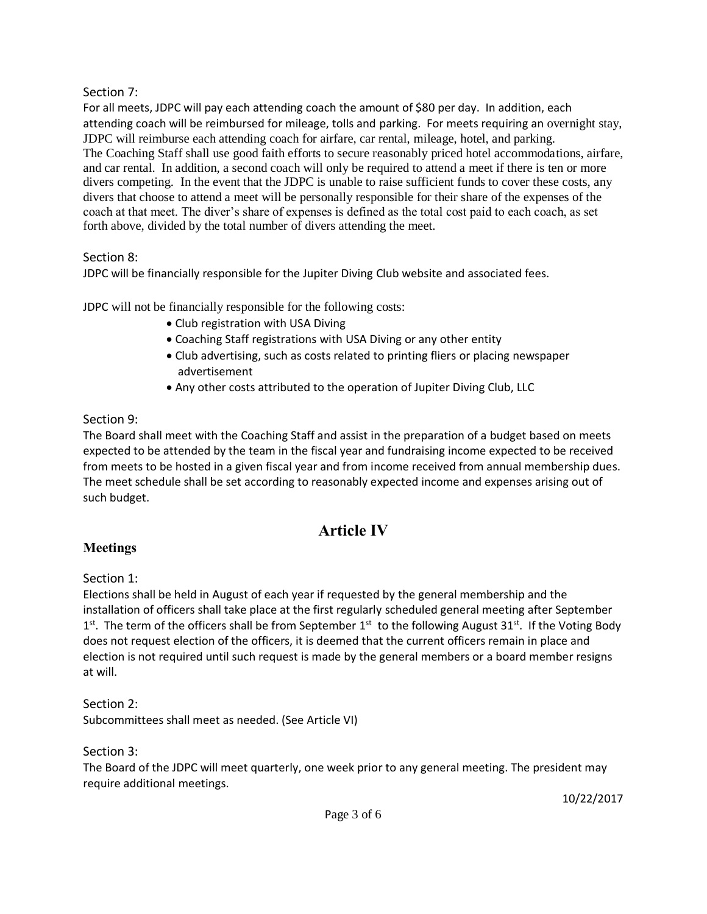### Section 7:

For all meets, JDPC will pay each attending coach the amount of \$80 per day. In addition, each attending coach will be reimbursed for mileage, tolls and parking. For meets requiring an overnight stay, JDPC will reimburse each attending coach for airfare, car rental, mileage, hotel, and parking. The Coaching Staff shall use good faith efforts to secure reasonably priced hotel accommodations, airfare, and car rental. In addition, a second coach will only be required to attend a meet if there is ten or more divers competing. In the event that the JDPC is unable to raise sufficient funds to cover these costs, any divers that choose to attend a meet will be personally responsible for their share of the expenses of the coach at that meet. The diver's share of expenses is defined as the total cost paid to each coach, as set forth above, divided by the total number of divers attending the meet.

### Section 8:

JDPC will be financially responsible for the Jupiter Diving Club website and associated fees.

JDPC will not be financially responsible for the following costs:

- Club registration with USA Diving
- Coaching Staff registrations with USA Diving or any other entity
- Club advertising, such as costs related to printing fliers or placing newspaper advertisement
- Any other costs attributed to the operation of Jupiter Diving Club, LLC

### Section 9:

The Board shall meet with the Coaching Staff and assist in the preparation of a budget based on meets expected to be attended by the team in the fiscal year and fundraising income expected to be received from meets to be hosted in a given fiscal year and from income received from annual membership dues. The meet schedule shall be set according to reasonably expected income and expenses arising out of such budget.

## **Article IV**

### **Meetings**

### Section 1:

Elections shall be held in August of each year if requested by the general membership and the installation of officers shall take place at the first regularly scheduled general meeting after September 1<sup>st</sup>. The term of the officers shall be from September 1<sup>st</sup> to the following August 31<sup>st</sup>. If the Voting Body does not request election of the officers, it is deemed that the current officers remain in place and election is not required until such request is made by the general members or a board member resigns at will.

### Section 2:

Subcommittees shall meet as needed. (See Article VI)

#### Section 3:

The Board of the JDPC will meet quarterly, one week prior to any general meeting. The president may require additional meetings.

10/22/2017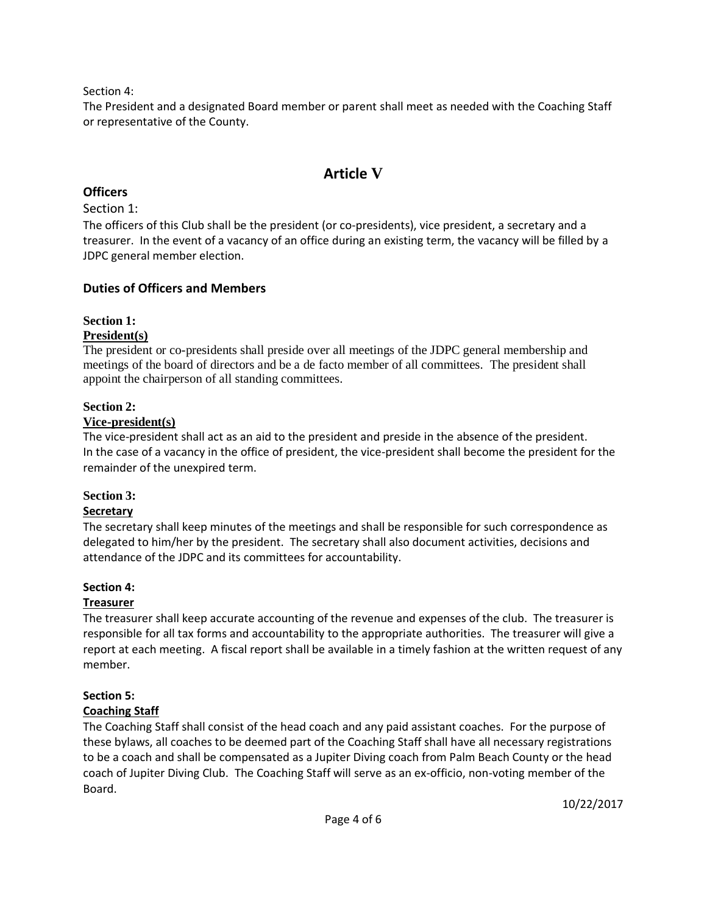Section 4:

The President and a designated Board member or parent shall meet as needed with the Coaching Staff or representative of the County.

## **Article V**

### **Officers**

Section 1:

The officers of this Club shall be the president (or co-presidents), vice president, a secretary and a treasurer. In the event of a vacancy of an office during an existing term, the vacancy will be filled by a JDPC general member election.

### **Duties of Officers and Members**

### **Section 1:**

### **President(s)**

The president or co-presidents shall preside over all meetings of the JDPC general membership and meetings of the board of directors and be a de facto member of all committees. The president shall appoint the chairperson of all standing committees.

### **Section 2:**

### **Vice-president(s)**

The vice-president shall act as an aid to the president and preside in the absence of the president. In the case of a vacancy in the office of president, the vice-president shall become the president for the remainder of the unexpired term.

### **Section 3:**

### **Secretary**

The secretary shall keep minutes of the meetings and shall be responsible for such correspondence as delegated to him/her by the president. The secretary shall also document activities, decisions and attendance of the JDPC and its committees for accountability.

### **Section 4:**

### **Treasurer**

The treasurer shall keep accurate accounting of the revenue and expenses of the club. The treasurer is responsible for all tax forms and accountability to the appropriate authorities. The treasurer will give a report at each meeting. A fiscal report shall be available in a timely fashion at the written request of any member.

## **Section 5:**

### **Coaching Staff**

The Coaching Staff shall consist of the head coach and any paid assistant coaches. For the purpose of these bylaws, all coaches to be deemed part of the Coaching Staff shall have all necessary registrations to be a coach and shall be compensated as a Jupiter Diving coach from Palm Beach County or the head coach of Jupiter Diving Club. The Coaching Staff will serve as an ex-officio, non-voting member of the Board.

10/22/2017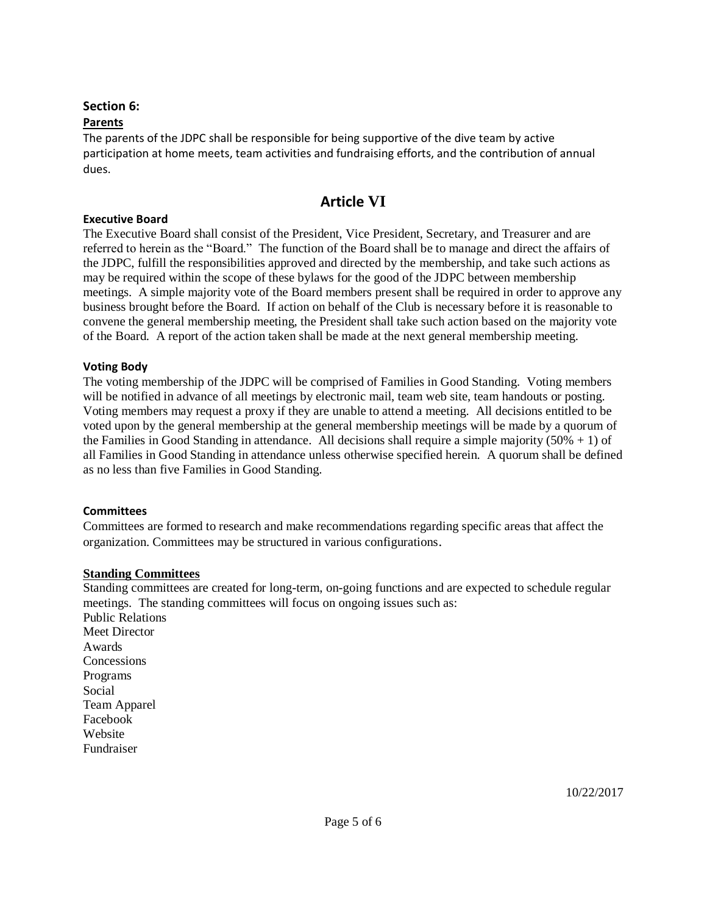#### **Section 6:**

#### **Parents**

The parents of the JDPC shall be responsible for being supportive of the dive team by active participation at home meets, team activities and fundraising efforts, and the contribution of annual dues.

## **Article VI**

#### **Executive Board**

The Executive Board shall consist of the President, Vice President, Secretary, and Treasurer and are referred to herein as the "Board." The function of the Board shall be to manage and direct the affairs of the JDPC, fulfill the responsibilities approved and directed by the membership, and take such actions as may be required within the scope of these bylaws for the good of the JDPC between membership meetings. A simple majority vote of the Board members present shall be required in order to approve any business brought before the Board. If action on behalf of the Club is necessary before it is reasonable to convene the general membership meeting, the President shall take such action based on the majority vote of the Board. A report of the action taken shall be made at the next general membership meeting.

#### **Voting Body**

The voting membership of the JDPC will be comprised of Families in Good Standing. Voting members will be notified in advance of all meetings by electronic mail, team web site, team handouts or posting. Voting members may request a proxy if they are unable to attend a meeting. All decisions entitled to be voted upon by the general membership at the general membership meetings will be made by a quorum of the Families in Good Standing in attendance. All decisions shall require a simple majority ( $50\% + 1$ ) of all Families in Good Standing in attendance unless otherwise specified herein. A quorum shall be defined as no less than five Families in Good Standing.

#### **Committees**

Committees are formed to research and make recommendations regarding specific areas that affect the organization. Committees may be structured in various configurations.

#### **Standing Committees**

Standing committees are created for long-term, on-going functions and are expected to schedule regular meetings. The standing committees will focus on ongoing issues such as:

Public Relations Meet Director Awards **Concessions** Programs Social Team Apparel Facebook Website Fundraiser